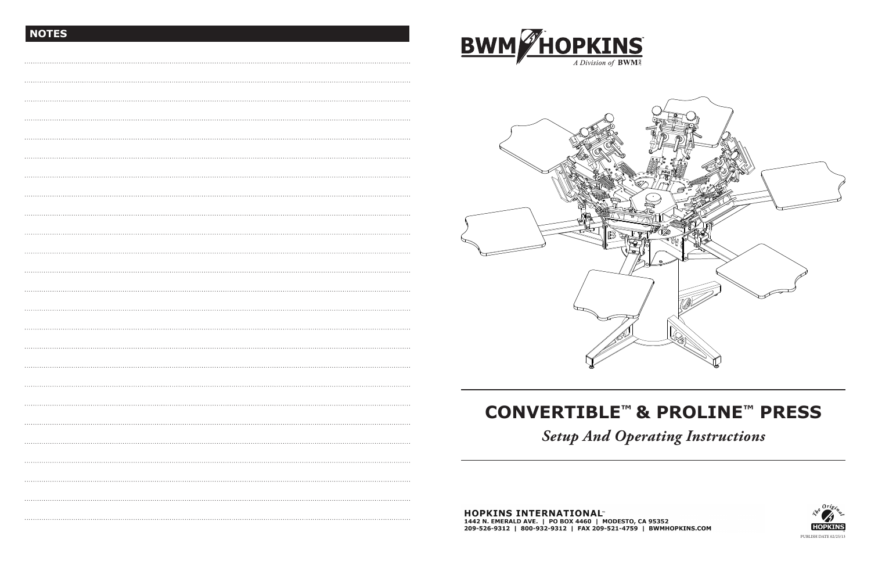# **CONVERTIBLE™ & PROLINE™ PRESS**

 $\overline{a}$ 

# *Setup And Operating Instructions*



# **NOTES**



**BWM HOPKINS**